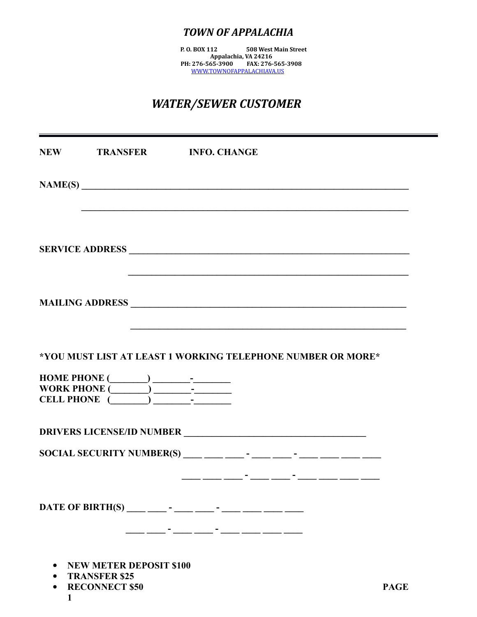# *TOWN OF APPALACHIA*

**P. O. BOX 112 508 West Main Street Appalachia, VA 24216 PH: 276-565-3900 FAX: 276-565-3908** [WWW.TOWNOFAPPALACHIAVA.US](http://WWW.TOWNOFAPPALACHIAVA.US/)

# *WATER/SEWER CUSTOMER*

|                                                                                  | NEW TRANSFER INFO. CHANGE                                                                       |
|----------------------------------------------------------------------------------|-------------------------------------------------------------------------------------------------|
|                                                                                  | NAME(S)                                                                                         |
|                                                                                  | SERVICE ADDRESS                                                                                 |
|                                                                                  |                                                                                                 |
| HOME PHONE $(\_\_\_\_\_\_\_\_\_\_\_$<br>WORK PHONE $(\_\_\_\_\_\_\_\_\_\_\_\_\_$ | *YOU MUST LIST AT LEAST 1 WORKING TELEPHONE NUMBER OR MORE*                                     |
|                                                                                  |                                                                                                 |
|                                                                                  | ____________________________<br>DATE OF BIRTH(S) ___ ___ - ___ - ___ - ___ - ___ __ ___ ___ ___ |
| <b>NEW METER DEPOSIT \$100</b><br><b>TRANSFER \$25</b>                           |                                                                                                 |
| <b>RECONNECT \$50</b>                                                            | <b>PAGE</b>                                                                                     |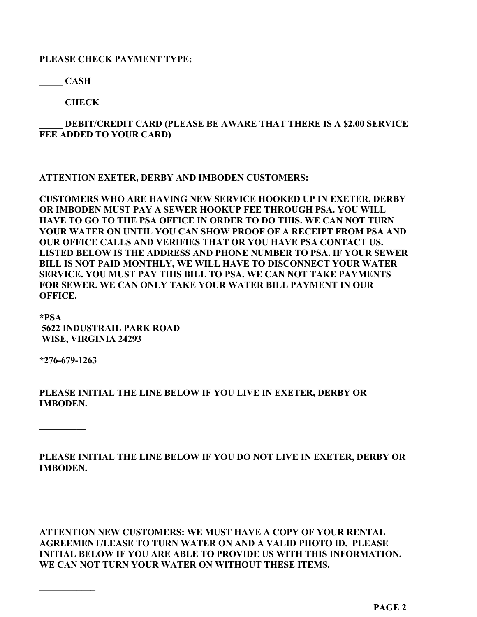#### **PLEASE CHECK PAYMENT TYPE:**

**\_\_\_\_\_ CASH** 

**\_\_\_\_\_ CHECK** 

## **\_\_\_\_\_ DEBIT/CREDIT CARD (PLEASE BE AWARE THAT THERE IS A \$2.00 SERVICE FEE ADDED TO YOUR CARD)**

#### **ATTENTION EXETER, DERBY AND IMBODEN CUSTOMERS:**

**CUSTOMERS WHO ARE HAVING NEW SERVICE HOOKED UP IN EXETER, DERBY OR IMBODEN MUST PAY A SEWER HOOKUP FEE THROUGH PSA. YOU WILL HAVE TO GO TO THE PSA OFFICE IN ORDER TO DO THIS. WE CAN NOT TURN YOUR WATER ON UNTIL YOU CAN SHOW PROOF OF A RECEIPT FROM PSA AND OUR OFFICE CALLS AND VERIFIES THAT OR YOU HAVE PSA CONTACT US. LISTED BELOW IS THE ADDRESS AND PHONE NUMBER TO PSA. IF YOUR SEWER BILL IS NOT PAID MONTHLY, WE WILL HAVE TO DISCONNECT YOUR WATER SERVICE. YOU MUST PAY THIS BILL TO PSA. WE CAN NOT TAKE PAYMENTS FOR SEWER. WE CAN ONLY TAKE YOUR WATER BILL PAYMENT IN OUR OFFICE.** 

**\*PSA 5622 INDUSTRAIL PARK ROAD WISE, VIRGINIA 24293**

**\*276-679-1263**

**PLEASE INITIAL THE LINE BELOW IF YOU LIVE IN EXETER, DERBY OR IMBODEN.** 

**\_\_\_\_\_\_\_\_\_\_**

**\_\_\_\_\_\_\_\_\_\_**

**\_\_\_\_\_\_\_\_\_\_\_\_** 

**PLEASE INITIAL THE LINE BELOW IF YOU DO NOT LIVE IN EXETER, DERBY OR IMBODEN.** 

**ATTENTION NEW CUSTOMERS: WE MUST HAVE A COPY OF YOUR RENTAL AGREEMENT/LEASE TO TURN WATER ON AND A VALID PHOTO ID. PLEASE INITIAL BELOW IF YOU ARE ABLE TO PROVIDE US WITH THIS INFORMATION. WE CAN NOT TURN YOUR WATER ON WITHOUT THESE ITEMS.**